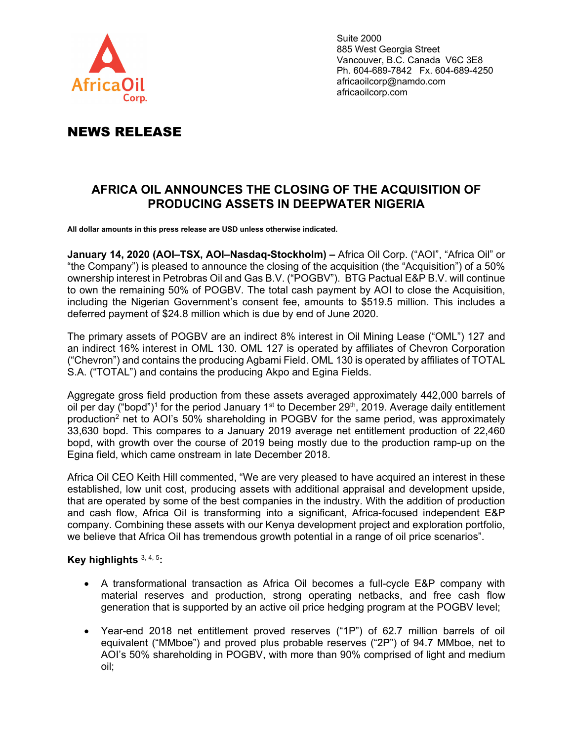

Suite 2000 885 West Georgia Street Vancouver, B.C. Canada V6C 3E8 Ph. 604-689-7842 Fx. 604-689-4250 africaoilcorp@namdo.com africaoilcorp.com

# NEWS RELEASE

# **AFRICA OIL ANNOUNCES THE CLOSING OF THE ACQUISITION OF PRODUCING ASSETS IN DEEPWATER NIGERIA**

**All dollar amounts in this press release are USD unless otherwise indicated.** 

**January 14, 2020 (AOI–TSX, AOI–Nasdaq-Stockholm) –** Africa Oil Corp. ("AOI", "Africa Oil" or "the Company") is pleased to announce the closing of the acquisition (the "Acquisition") of a 50% ownership interest in Petrobras Oil and Gas B.V. ("POGBV"). BTG Pactual E&P B.V. will continue to own the remaining 50% of POGBV. The total cash payment by AOI to close the Acquisition, including the Nigerian Government's consent fee, amounts to \$519.5 million. This includes a deferred payment of \$24.8 million which is due by end of June 2020.

The primary assets of POGBV are an indirect 8% interest in Oil Mining Lease ("OML") 127 and an indirect 16% interest in OML 130. OML 127 is operated by affiliates of Chevron Corporation ("Chevron") and contains the producing Agbami Field. OML 130 is operated by affiliates of TOTAL S.A. ("TOTAL") and contains the producing Akpo and Egina Fields.

Aggregate gross field production from these assets averaged approximately 442,000 barrels of oil per day ("bopd")<sup>1</sup> for the period January 1<sup>st</sup> to December 29<sup>th</sup>, 2019. Average daily entitlement production<sup>2</sup> net to AOI's 50% shareholding in POGBV for the same period, was approximately 33,630 bopd. This compares to a January 2019 average net entitlement production of 22,460 bopd, with growth over the course of 2019 being mostly due to the production ramp-up on the Egina field, which came onstream in late December 2018.

Africa Oil CEO Keith Hill commented, "We are very pleased to have acquired an interest in these established, low unit cost, producing assets with additional appraisal and development upside, that are operated by some of the best companies in the industry. With the addition of production and cash flow, Africa Oil is transforming into a significant, Africa-focused independent E&P company. Combining these assets with our Kenya development project and exploration portfolio, we believe that Africa Oil has tremendous growth potential in a range of oil price scenarios".

## **Key highlights** 3, 4, 5**:**

- A transformational transaction as Africa Oil becomes a full-cycle E&P company with material reserves and production, strong operating netbacks, and free cash flow generation that is supported by an active oil price hedging program at the POGBV level;
- Year-end 2018 net entitlement proved reserves ("1P") of 62.7 million barrels of oil equivalent ("MMboe") and proved plus probable reserves ("2P") of 94.7 MMboe, net to AOI's 50% shareholding in POGBV, with more than 90% comprised of light and medium oil;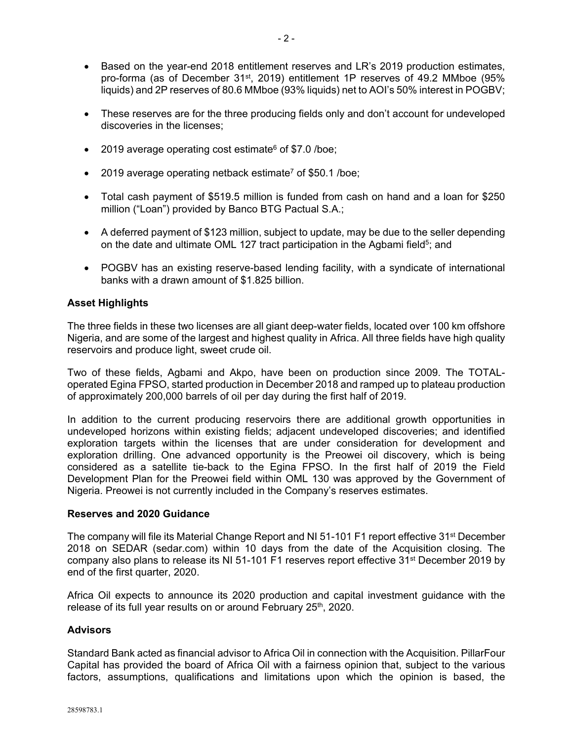- Based on the year-end 2018 entitlement reserves and LR's 2019 production estimates, pro-forma (as of December 31<sup>st</sup>, 2019) entitlement 1P reserves of 49.2 MMboe (95% liquids) and 2P reserves of 80.6 MMboe (93% liquids) net to AOI's 50% interest in POGBV;
- These reserves are for the three producing fields only and don't account for undeveloped discoveries in the licenses;
- $\bullet$  2019 average operating cost estimate<sup>6</sup> of \$7.0 /boe;
- $\bullet$  2019 average operating netback estimate<sup>7</sup> of \$50.1 /boe;
- Total cash payment of \$519.5 million is funded from cash on hand and a loan for \$250 million ("Loan") provided by Banco BTG Pactual S.A.;
- A deferred payment of \$123 million, subject to update, may be due to the seller depending on the date and ultimate OML 127 tract participation in the Agbami field<sup>5</sup>; and
- POGBV has an existing reserve-based lending facility, with a syndicate of international banks with a drawn amount of \$1.825 billion.

#### **Asset Highlights**

The three fields in these two licenses are all giant deep-water fields, located over 100 km offshore Nigeria, and are some of the largest and highest quality in Africa. All three fields have high quality reservoirs and produce light, sweet crude oil.

Two of these fields, Agbami and Akpo, have been on production since 2009. The TOTALoperated Egina FPSO, started production in December 2018 and ramped up to plateau production of approximately 200,000 barrels of oil per day during the first half of 2019.

In addition to the current producing reservoirs there are additional growth opportunities in undeveloped horizons within existing fields; adjacent undeveloped discoveries; and identified exploration targets within the licenses that are under consideration for development and exploration drilling. One advanced opportunity is the Preowei oil discovery, which is being considered as a satellite tie-back to the Egina FPSO. In the first half of 2019 the Field Development Plan for the Preowei field within OML 130 was approved by the Government of Nigeria. Preowei is not currently included in the Company's reserves estimates.

#### **Reserves and 2020 Guidance**

The company will file its Material Change Report and NI 51-101 F1 report effective 31<sup>st</sup> December 2018 on SEDAR (sedar.com) within 10 days from the date of the Acquisition closing. The company also plans to release its NI 51-101 F1 reserves report effective 31<sup>st</sup> December 2019 by end of the first quarter, 2020.

Africa Oil expects to announce its 2020 production and capital investment guidance with the release of its full year results on or around February 25<sup>th</sup>, 2020.

#### **Advisors**

Standard Bank acted as financial advisor to Africa Oil in connection with the Acquisition. PillarFour Capital has provided the board of Africa Oil with a fairness opinion that, subject to the various factors, assumptions, qualifications and limitations upon which the opinion is based, the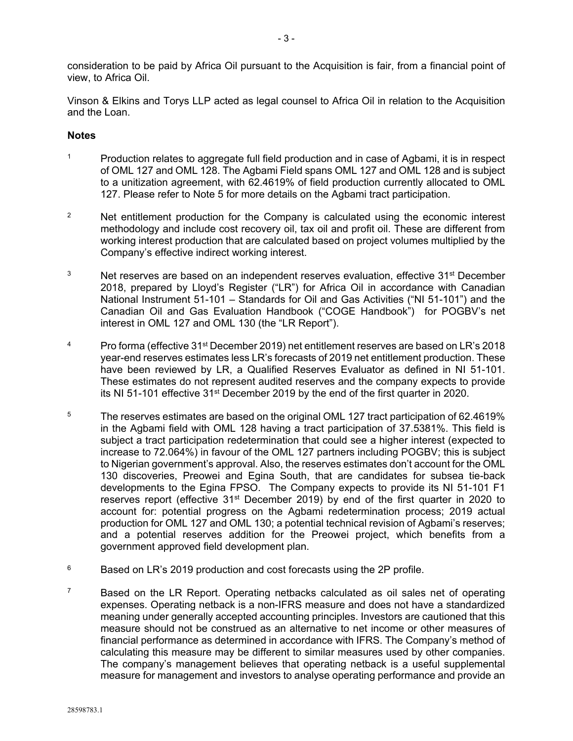consideration to be paid by Africa Oil pursuant to the Acquisition is fair, from a financial point of view, to Africa Oil.

Vinson & Elkins and Torys LLP acted as legal counsel to Africa Oil in relation to the Acquisition and the Loan.

#### **Notes**

- <sup>1</sup> Production relates to aggregate full field production and in case of Agbami, it is in respect of OML 127 and OML 128. The Agbami Field spans OML 127 and OML 128 and is subject to a unitization agreement, with 62.4619% of field production currently allocated to OML 127. Please refer to Note 5 for more details on the Agbami tract participation.
- <sup>2</sup> Net entitlement production for the Company is calculated using the economic interest methodology and include cost recovery oil, tax oil and profit oil. These are different from working interest production that are calculated based on project volumes multiplied by the Company's effective indirect working interest.
- $3$  Net reserves are based on an independent reserves evaluation, effective  $31<sup>st</sup>$  December 2018, prepared by Lloyd's Register ("LR") for Africa Oil in accordance with Canadian National Instrument 51-101 – Standards for Oil and Gas Activities ("NI 51-101") and the Canadian Oil and Gas Evaluation Handbook ("COGE Handbook") for POGBV's net interest in OML 127 and OML 130 (the "LR Report").
- <sup>4</sup> Pro forma (effective 31<sup>st</sup> December 2019) net entitlement reserves are based on LR's 2018 year-end reserves estimates less LR's forecasts of 2019 net entitlement production. These have been reviewed by LR, a Qualified Reserves Evaluator as defined in NI 51-101. These estimates do not represent audited reserves and the company expects to provide its NI 51-101 effective 31<sup>st</sup> December 2019 by the end of the first quarter in 2020.
- <sup>5</sup> The reserves estimates are based on the original OML 127 tract participation of 62.4619% in the Agbami field with OML 128 having a tract participation of 37.5381%. This field is subject a tract participation redetermination that could see a higher interest (expected to increase to 72.064%) in favour of the OML 127 partners including POGBV; this is subject to Nigerian government's approval. Also, the reserves estimates don't account for the OML 130 discoveries, Preowei and Egina South, that are candidates for subsea tie-back developments to the Egina FPSO. The Company expects to provide its NI 51-101 F1 reserves report (effective 31<sup>st</sup> December 2019) by end of the first quarter in 2020 to account for: potential progress on the Agbami redetermination process; 2019 actual production for OML 127 and OML 130; a potential technical revision of Agbami's reserves; and a potential reserves addition for the Preowei project, which benefits from a government approved field development plan.
- $6$  Based on LR's 2019 production and cost forecasts using the 2P profile.
- $7$  Based on the LR Report. Operating netbacks calculated as oil sales net of operating expenses. Operating netback is a non-IFRS measure and does not have a standardized meaning under generally accepted accounting principles. Investors are cautioned that this measure should not be construed as an alternative to net income or other measures of financial performance as determined in accordance with IFRS. The Company's method of calculating this measure may be different to similar measures used by other companies. The company's management believes that operating netback is a useful supplemental measure for management and investors to analyse operating performance and provide an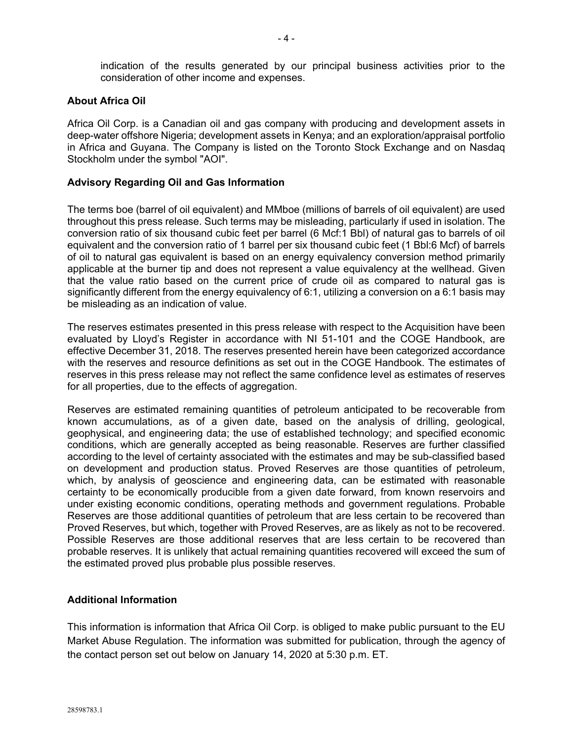indication of the results generated by our principal business activities prior to the consideration of other income and expenses.

#### **About Africa Oil**

Africa Oil Corp. is a Canadian oil and gas company with producing and development assets in deep-water offshore Nigeria; development assets in Kenya; and an exploration/appraisal portfolio in Africa and Guyana. The Company is listed on the Toronto Stock Exchange and on Nasdaq Stockholm under the symbol "AOI".

#### **Advisory Regarding Oil and Gas Information**

The terms boe (barrel of oil equivalent) and MMboe (millions of barrels of oil equivalent) are used throughout this press release. Such terms may be misleading, particularly if used in isolation. The conversion ratio of six thousand cubic feet per barrel (6 Mcf:1 Bbl) of natural gas to barrels of oil equivalent and the conversion ratio of 1 barrel per six thousand cubic feet (1 Bbl:6 Mcf) of barrels of oil to natural gas equivalent is based on an energy equivalency conversion method primarily applicable at the burner tip and does not represent a value equivalency at the wellhead. Given that the value ratio based on the current price of crude oil as compared to natural gas is significantly different from the energy equivalency of 6:1, utilizing a conversion on a 6:1 basis may be misleading as an indication of value.

The reserves estimates presented in this press release with respect to the Acquisition have been evaluated by Lloyd's Register in accordance with NI 51-101 and the COGE Handbook, are effective December 31, 2018. The reserves presented herein have been categorized accordance with the reserves and resource definitions as set out in the COGE Handbook. The estimates of reserves in this press release may not reflect the same confidence level as estimates of reserves for all properties, due to the effects of aggregation.

Reserves are estimated remaining quantities of petroleum anticipated to be recoverable from known accumulations, as of a given date, based on the analysis of drilling, geological, geophysical, and engineering data; the use of established technology; and specified economic conditions, which are generally accepted as being reasonable. Reserves are further classified according to the level of certainty associated with the estimates and may be sub-classified based on development and production status. Proved Reserves are those quantities of petroleum, which, by analysis of geoscience and engineering data, can be estimated with reasonable certainty to be economically producible from a given date forward, from known reservoirs and under existing economic conditions, operating methods and government regulations. Probable Reserves are those additional quantities of petroleum that are less certain to be recovered than Proved Reserves, but which, together with Proved Reserves, are as likely as not to be recovered. Possible Reserves are those additional reserves that are less certain to be recovered than probable reserves. It is unlikely that actual remaining quantities recovered will exceed the sum of the estimated proved plus probable plus possible reserves.

## **Additional Information**

This information is information that Africa Oil Corp. is obliged to make public pursuant to the EU Market Abuse Regulation. The information was submitted for publication, through the agency of the contact person set out below on January 14, 2020 at 5:30 p.m. ET.